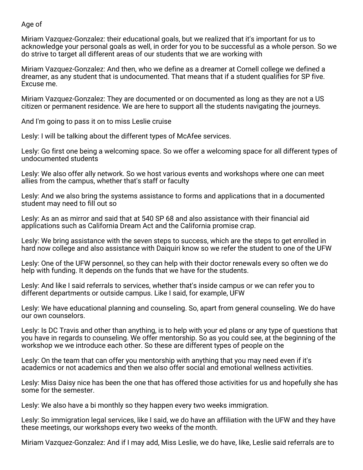## Age of

Miriam Vazquez-Gonzalez: their educational goals, but we realized that it's important for us to acknowledge your personal goals as well, in order for you to be successful as a whole person. So we do strive to target all different areas of our students that we are working with

Miriam Vazquez-Gonzalez: And then, who we define as a dreamer at Cornell college we defined a dreamer, as any student that is undocumented. That means that if a student qualifies for SP five. Excuse me.

Miriam Vazquez-Gonzalez: They are documented or on documented as long as they are not a US citizen or permanent residence. We are here to support all the students navigating the journeys.

And I'm going to pass it on to miss Leslie cruise

Lesly: I will be talking about the different types of McAfee services.

Lesly: Go first one being a welcoming space. So we offer a welcoming space for all different types of undocumented students

Lesly: We also offer ally network. So we host various events and workshops where one can meet allies from the campus, whether that's staff or faculty

Lesly: And we also bring the systems assistance to forms and applications that in a documented student may need to fill out so

Lesly: As an as mirror and said that at 540 SP 68 and also assistance with their financial aid applications such as California Dream Act and the California promise crap.

Lesly: We bring assistance with the seven steps to success, which are the steps to get enrolled in hard now college and also assistance with Daiquiri know so we refer the student to one of the UFW

Lesly: One of the UFW personnel, so they can help with their doctor renewals every so often we do help with funding. It depends on the funds that we have for the students.

Lesly: And like I said referrals to services, whether that's inside campus or we can refer you to different departments or outside campus. Like I said, for example, UFW

Lesly: We have educational planning and counseling. So, apart from general counseling. We do have our own counselors.

Lesly: Is DC Travis and other than anything, is to help with your ed plans or any type of questions that you have in regards to counseling. We offer mentorship. So as you could see, at the beginning of the workshop we we introduce each other. So these are different types of people on the

Lesly: On the team that can offer you mentorship with anything that you may need even if it's academics or not academics and then we also offer social and emotional wellness activities.

Lesly: Miss Daisy nice has been the one that has offered those activities for us and hopefully she has some for the semester.

Lesly: We also have a bi monthly so they happen every two weeks immigration.

Lesly: So immigration legal services, like I said, we do have an affiliation with the UFW and they have these meetings, our workshops every two weeks of the month.

Miriam Vazquez-Gonzalez: And if I may add, Miss Leslie, we do have, like, Leslie said referrals are to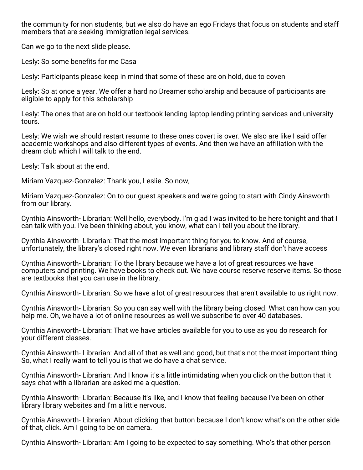the community for non students, but we also do have an ego Fridays that focus on students and staff members that are seeking immigration legal services.

Can we go to the next slide please.

Lesly: So some benefits for me Casa

Lesly: Participants please keep in mind that some of these are on hold, due to coven

Lesly: So at once a year. We offer a hard no Dreamer scholarship and because of participants are eligible to apply for this scholarship

Lesly: The ones that are on hold our textbook lending laptop lending printing services and university tours.

Lesly: We wish we should restart resume to these ones covert is over. We also are like I said offer academic workshops and also different types of events. And then we have an affiliation with the dream club which I will talk to the end.

Lesly: Talk about at the end.

Miriam Vazquez-Gonzalez: Thank you, Leslie. So now,

Miriam Vazquez-Gonzalez: On to our guest speakers and we're going to start with Cindy Ainsworth from our library.

Cynthia Ainsworth- Librarian: Well hello, everybody. I'm glad I was invited to be here tonight and that I can talk with you. I've been thinking about, you know, what can I tell you about the library.

Cynthia Ainsworth- Librarian: That the most important thing for you to know. And of course, unfortunately, the library's closed right now. We even librarians and library staff don't have access

Cynthia Ainsworth- Librarian: To the library because we have a lot of great resources we have computers and printing. We have books to check out. We have course reserve reserve items. So those are textbooks that you can use in the library.

Cynthia Ainsworth- Librarian: So we have a lot of great resources that aren't available to us right now.

Cynthia Ainsworth- Librarian: So you can say well with the library being closed. What can how can you help me. Oh, we have a lot of online resources as well we subscribe to over 40 databases.

Cynthia Ainsworth- Librarian: That we have articles available for you to use as you do research for your different classes.

Cynthia Ainsworth- Librarian: And all of that as well and good, but that's not the most important thing. So, what I really want to tell you is that we do have a chat service.

Cynthia Ainsworth- Librarian: And I know it's a little intimidating when you click on the button that it says chat with a librarian are asked me a question.

Cynthia Ainsworth- Librarian: Because it's like, and I know that feeling because I've been on other library library websites and I'm a little nervous.

Cynthia Ainsworth- Librarian: About clicking that button because I don't know what's on the other side of that, click. Am I going to be on camera.

Cynthia Ainsworth- Librarian: Am I going to be expected to say something. Who's that other person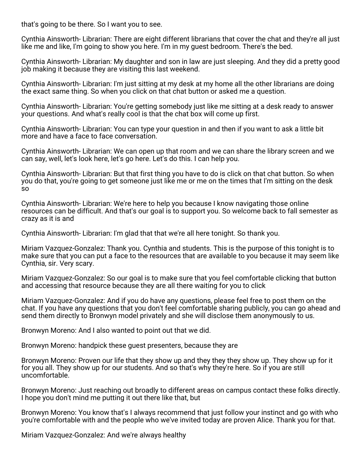that's going to be there. So I want you to see.

Cynthia Ainsworth- Librarian: There are eight different librarians that cover the chat and they're all just like me and like, I'm going to show you here. I'm in my guest bedroom. There's the bed.

Cynthia Ainsworth- Librarian: My daughter and son in law are just sleeping. And they did a pretty good job making it because they are visiting this last weekend.

Cynthia Ainsworth- Librarian: I'm just sitting at my desk at my home all the other librarians are doing the exact same thing. So when you click on that chat button or asked me a question.

Cynthia Ainsworth- Librarian: You're getting somebody just like me sitting at a desk ready to answer your questions. And what's really cool is that the chat box will come up first.

Cynthia Ainsworth- Librarian: You can type your question in and then if you want to ask a little bit more and have a face to face conversation.

Cynthia Ainsworth- Librarian: We can open up that room and we can share the library screen and we can say, well, let's look here, let's go here. Let's do this. I can help you.

Cynthia Ainsworth- Librarian: But that first thing you have to do is click on that chat button. So when you do that, you're going to get someone just like me or me on the times that I'm sitting on the desk so

Cynthia Ainsworth- Librarian: We're here to help you because I know navigating those online resources can be difficult. And that's our goal is to support you. So welcome back to fall semester as crazy as it is and

Cynthia Ainsworth- Librarian: I'm glad that that we're all here tonight. So thank you.

Miriam Vazquez-Gonzalez: Thank you. Cynthia and students. This is the purpose of this tonight is to make sure that you can put a face to the resources that are available to you because it may seem like Cynthia, sir. Very scary.

Miriam Vazquez-Gonzalez: So our goal is to make sure that you feel comfortable clicking that button and accessing that resource because they are all there waiting for you to click

Miriam Vazquez-Gonzalez: And if you do have any questions, please feel free to post them on the chat. If you have any questions that you don't feel comfortable sharing publicly, you can go ahead and send them directly to Bronwyn model privately and she will disclose them anonymously to us.

Bronwyn Moreno: And I also wanted to point out that we did.

Bronwyn Moreno: handpick these guest presenters, because they are

Bronwyn Moreno: Proven our life that they show up and they they they show up. They show up for it for you all. They show up for our students. And so that's why they're here. So if you are still uncomfortable.

Bronwyn Moreno: Just reaching out broadly to different areas on campus contact these folks directly. I hope you don't mind me putting it out there like that, but

Bronwyn Moreno: You know that's I always recommend that just follow your instinct and go with who you're comfortable with and the people who we've invited today are proven Alice. Thank you for that.

Miriam Vazquez-Gonzalez: And we're always healthy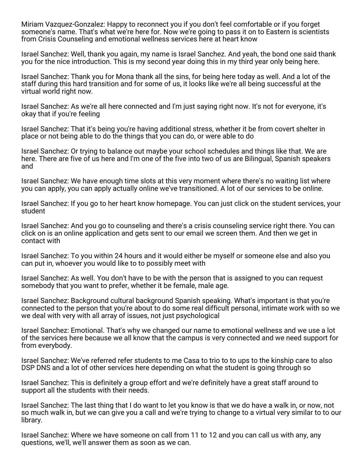Miriam Vazquez-Gonzalez: Happy to reconnect you if you don't feel comfortable or if you forget someone's name. That's what we're here for. Now we're going to pass it on to Eastern is scientists from Crisis Counseling and emotional wellness services here at heart know

Israel Sanchez: Well, thank you again, my name is Israel Sanchez. And yeah, the bond one said thank you for the nice introduction. This is my second year doing this in my third year only being here.

Israel Sanchez: Thank you for Mona thank all the sins, for being here today as well. And a lot of the staff during this hard transition and for some of us, it looks like we're all being successful at the virtual world right now.

Israel Sanchez: As we're all here connected and I'm just saying right now. It's not for everyone, it's okay that if you're feeling

Israel Sanchez: That it's being you're having additional stress, whether it be from covert shelter in place or not being able to do the things that you can do, or were able to do

Israel Sanchez: Or trying to balance out maybe your school schedules and things like that. We are here. There are five of us here and I'm one of the five into two of us are Bilingual, Spanish speakers and

Israel Sanchez: We have enough time slots at this very moment where there's no waiting list where you can apply, you can apply actually online we've transitioned. A lot of our services to be online.

Israel Sanchez: If you go to her heart know homepage. You can just click on the student services, your student

Israel Sanchez: And you go to counseling and there's a crisis counseling service right there. You can click on is an online application and gets sent to our email we screen them. And then we get in contact with

Israel Sanchez: To you within 24 hours and it would either be myself or someone else and also you can put in, whoever you would like to to possibly meet with

Israel Sanchez: As well. You don't have to be with the person that is assigned to you can request somebody that you want to prefer, whether it be female, male age.

Israel Sanchez: Background cultural background Spanish speaking. What's important is that you're connected to the person that you're about to do some real difficult personal, intimate work with so we we deal with very with all array of issues, not just psychological

Israel Sanchez: Emotional. That's why we changed our name to emotional wellness and we use a lot of the services here because we all know that the campus is very connected and we need support for from everybody.

Israel Sanchez: We've referred refer students to me Casa to trio to to ups to the kinship care to also DSP DNS and a lot of other services here depending on what the student is going through so

Israel Sanchez: This is definitely a group effort and we're definitely have a great staff around to support all the students with their needs.

Israel Sanchez: The last thing that I do want to let you know is that we do have a walk in, or now, not so much walk in, but we can give you a call and we're trying to change to a virtual very similar to to our library.

Israel Sanchez: Where we have someone on call from 11 to 12 and you can call us with any, any questions, we'll, we'll answer them as soon as we can.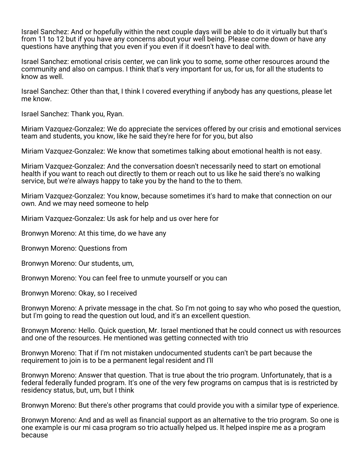Israel Sanchez: And or hopefully within the next couple days will be able to do it virtually but that's from 11 to 12 but if you have any concerns about your well being. Please come down or have any questions have anything that you even if you even if it doesn't have to deal with.

Israel Sanchez: emotional crisis center, we can link you to some, some other resources around the community and also on campus. I think that's very important for us, for us, for all the students to know as well.

Israel Sanchez: Other than that, I think I covered everything if anybody has any questions, please let me know.

Israel Sanchez: Thank you, Ryan.

Miriam Vazquez-Gonzalez: We do appreciate the services offered by our crisis and emotional services team and students, you know, like he said they're here for for you, but also

Miriam Vazquez-Gonzalez: We know that sometimes talking about emotional health is not easy.

Miriam Vazquez-Gonzalez: And the conversation doesn't necessarily need to start on emotional health if you want to reach out directly to them or reach out to us like he said there's no walking service, but we're always happy to take you by the hand to the to them.

Miriam Vazquez-Gonzalez: You know, because sometimes it's hard to make that connection on our own. And we may need someone to help

Miriam Vazquez-Gonzalez: Us ask for help and us over here for

Bronwyn Moreno: At this time, do we have any

Bronwyn Moreno: Questions from

Bronwyn Moreno: Our students, um,

Bronwyn Moreno: You can feel free to unmute yourself or you can

Bronwyn Moreno: Okay, so I received

Bronwyn Moreno: A private message in the chat. So I'm not going to say who who posed the question, but I'm going to read the question out loud, and it's an excellent question.

Bronwyn Moreno: Hello. Quick question, Mr. Israel mentioned that he could connect us with resources and one of the resources. He mentioned was getting connected with trio

Bronwyn Moreno: That if I'm not mistaken undocumented students can't be part because the requirement to join is to be a permanent legal resident and I'll

Bronwyn Moreno: Answer that question. That is true about the trio program. Unfortunately, that is a federal federally funded program. It's one of the very few programs on campus that is is restricted by residency status, but, um, but I think

Bronwyn Moreno: But there's other programs that could provide you with a similar type of experience.

Bronwyn Moreno: And and as well as financial support as an alternative to the trio program. So one is one example is our mi casa program so trio actually helped us. It helped inspire me as a program because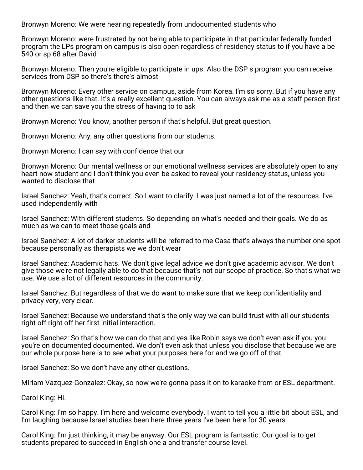Bronwyn Moreno: We were hearing repeatedly from undocumented students who

Bronwyn Moreno: were frustrated by not being able to participate in that particular federally funded program the LPs program on campus is also open regardless of residency status to if you have a be 540 or sp 68 after David

Bronwyn Moreno: Then you're eligible to participate in ups. Also the DSP s program you can receive services from DSP so there's there's almost

Bronwyn Moreno: Every other service on campus, aside from Korea. I'm so sorry. But if you have any other questions like that. It's a really excellent question. You can always ask me as a staff person first and then we can save you the stress of having to to ask

Bronwyn Moreno: You know, another person if that's helpful. But great question.

Bronwyn Moreno: Any, any other questions from our students.

Bronwyn Moreno: I can say with confidence that our

Bronwyn Moreno: Our mental wellness or our emotional wellness services are absolutely open to any heart now student and I don't think you even be asked to reveal your residency status, unless you wanted to disclose that

Israel Sanchez: Yeah, that's correct. So I want to clarify. I was just named a lot of the resources. I've used independently with

Israel Sanchez: With different students. So depending on what's needed and their goals. We do as much as we can to meet those goals and

Israel Sanchez: A lot of darker students will be referred to me Casa that's always the number one spot because personally as therapists we we don't wear

Israel Sanchez: Academic hats. We don't give legal advice we don't give academic advisor. We don't give those we're not legally able to do that because that's not our scope of practice. So that's what we use. We use a lot of different resources in the community.

Israel Sanchez: But regardless of that we do want to make sure that we keep confidentiality and privacy very, very clear.

Israel Sanchez: Because we understand that's the only way we can build trust with all our students right off right off her first initial interaction.

Israel Sanchez: So that's how we can do that and yes like Robin says we don't even ask if you you you're on documented documented. We don't even ask that unless you disclose that because we are our whole purpose here is to see what your purposes here for and we go off of that.

Israel Sanchez: So we don't have any other questions.

Miriam Vazquez-Gonzalez: Okay, so now we're gonna pass it on to karaoke from or ESL department.

Carol King: Hi.

Carol King: I'm so happy. I'm here and welcome everybody. I want to tell you a little bit about ESL, and I'm laughing because Israel studies been here three years I've been here for 30 years

Carol King: I'm just thinking, it may be anyway. Our ESL program is fantastic. Our goal is to get students prepared to succeed in English one a and transfer course level.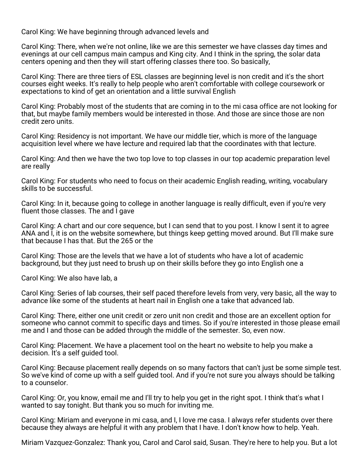Carol King: We have beginning through advanced levels and

Carol King: There, when we're not online, like we are this semester we have classes day times and evenings at our cell campus main campus and King city. And I think in the spring, the solar data centers opening and then they will start offering classes there too. So basically,

Carol King: There are three tiers of ESL classes are beginning level is non credit and it's the short courses eight weeks. It's really to help people who aren't comfortable with college coursework or expectations to kind of get an orientation and a little survival English

Carol King: Probably most of the students that are coming in to the mi casa office are not looking for that, but maybe family members would be interested in those. And those are since those are non credit zero units.

Carol King: Residency is not important. We have our middle tier, which is more of the language acquisition level where we have lecture and required lab that the coordinates with that lecture.

Carol King: And then we have the two top love to top classes in our top academic preparation level are really

Carol King: For students who need to focus on their academic English reading, writing, vocabulary skills to be successful.

Carol King: In it, because going to college in another language is really difficult, even if you're very fluent those classes. The and I gave

Carol King: A chart and our core sequence, but I can send that to you post. I know I sent it to agree ANA and I, it is on the website somewhere, but things keep getting moved around. But I'll make sure that because I has that. But the 265 or the

Carol King: Those are the levels that we have a lot of students who have a lot of academic background, but they just need to brush up on their skills before they go into English one a

Carol King: We also have lab, a

Carol King: Series of lab courses, their self paced therefore levels from very, very basic, all the way to advance like some of the students at heart nail in English one a take that advanced lab.

Carol King: There, either one unit credit or zero unit non credit and those are an excellent option for someone who cannot commit to specific days and times. So if you're interested in those please email me and I and those can be added through the middle of the semester. So, even now.

Carol King: Placement. We have a placement tool on the heart no website to help you make a decision. It's a self guided tool.

Carol King: Because placement really depends on so many factors that can't just be some simple test. So we've kind of come up with a self guided tool. And if you're not sure you always should be talking to a counselor.

Carol King: Or, you know, email me and I'll try to help you get in the right spot. I think that's what I wanted to say tonight. But thank you so much for inviting me.

Carol King: Miriam and everyone in mi casa, and I, I love me casa. I always refer students over there because they always are helpful it with any problem that I have. I don't know how to help. Yeah.

Miriam Vazquez-Gonzalez: Thank you, Carol and Carol said, Susan. They're here to help you. But a lot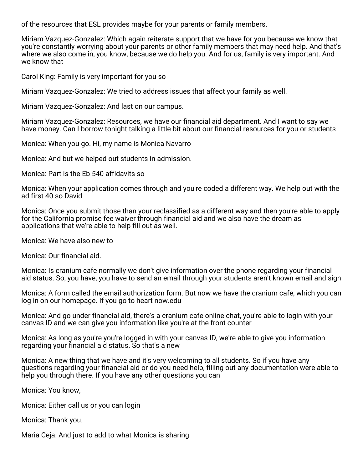of the resources that ESL provides maybe for your parents or family members.

Miriam Vazquez-Gonzalez: Which again reiterate support that we have for you because we know that you're constantly worrying about your parents or other family members that may need help. And that's where we also come in, you know, because we do help you. And for us, family is very important. And we know that

Carol King: Family is very important for you so

Miriam Vazquez-Gonzalez: We tried to address issues that affect your family as well.

Miriam Vazquez-Gonzalez: And last on our campus.

Miriam Vazquez-Gonzalez: Resources, we have our financial aid department. And I want to say we have money. Can I borrow tonight talking a little bit about our financial resources for you or students

Monica: When you go. Hi, my name is Monica Navarro

Monica: And but we helped out students in admission.

Monica: Part is the Eb 540 affidavits so

Monica: When your application comes through and you're coded a different way. We help out with the ad first 40 so David

Monica: Once you submit those than your reclassified as a different way and then you're able to apply for the California promise fee waiver through financial aid and we also have the dream as applications that we're able to help fill out as well.

Monica: We have also new to

Monica: Our financial aid.

Monica: Is cranium cafe normally we don't give information over the phone regarding your financial aid status. So, you have, you have to send an email through your students aren't known email and sign

Monica: A form called the email authorization form. But now we have the cranium cafe, which you can log in on our homepage. If you go to heart now.edu

Monica: And go under financial aid, there's a cranium cafe online chat, you're able to login with your canvas ID and we can give you information like you're at the front counter

Monica: As long as you're you're logged in with your canvas ID, we're able to give you information regarding your financial aid status. So that's a new

Monica: A new thing that we have and it's very welcoming to all students. So if you have any questions regarding your financial aid or do you need help, filling out any documentation were able to help you through there. If you have any other questions you can

Monica: You know,

Monica: Either call us or you can login

Monica: Thank you.

Maria Ceja: And just to add to what Monica is sharing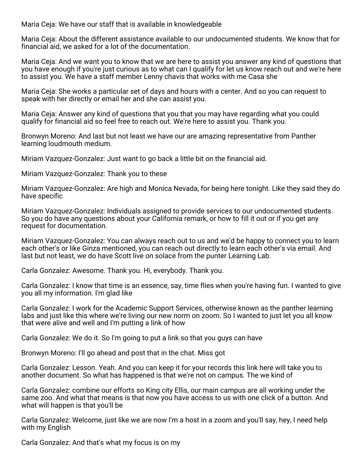Maria Ceja: We have our staff that is available in knowledgeable

Maria Ceja: About the different assistance available to our undocumented students. We know that for financial aid, we asked for a lot of the documentation.

Maria Ceja: And we want you to know that we are here to assist you answer any kind of questions that you have enough if you're just curious as to what can I qualify for let us know reach out and we're here to assist you. We have a staff member Lenny chavis that works with me Casa she

Maria Ceja: She works a particular set of days and hours with a center. And so you can request to speak with her directly or email her and she can assist you.

Maria Ceja: Answer any kind of questions that you that you may have regarding what you could qualify for financial aid so feel free to reach out. We're here to assist you. Thank you.

Bronwyn Moreno: And last but not least we have our are amazing representative from Panther learning loudmouth medium.

Miriam Vazquez-Gonzalez: Just want to go back a little bit on the financial aid.

Miriam Vazquez-Gonzalez: Thank you to these

Miriam Vazquez-Gonzalez: Are high and Monica Nevada, for being here tonight. Like they said they do have specific

Miriam Vazquez-Gonzalez: Individuals assigned to provide services to our undocumented students. So you do have any questions about your California remark, or how to fill it out or if you get any request for documentation.

Miriam Vazquez-Gonzalez: You can always reach out to us and we'd be happy to connect you to learn each other's or like Ginza mentioned, you can reach out directly to learn each other's via email. And last but not least, we do have Scott live on solace from the punter Learning Lab.

Carla Gonzalez: Awesome. Thank you. Hi, everybody. Thank you.

Carla Gonzalez: I know that time is an essence, say, time flies when you're having fun. I wanted to give you all my information. I'm glad like

Carla Gonzalez: I work for the Academic Support Services, otherwise known as the panther learning labs and just like this where we're living our new norm on zoom. So I wanted to just let you all know that were alive and well and I'm putting a link of how

Carla Gonzalez: We do it. So I'm going to put a link so that you guys can have

Bronwyn Moreno: I'll go ahead and post that in the chat. Miss got

Carla Gonzalez: Lesson. Yeah. And you can keep it for your records this link here will take you to another document. So what has happened is that we're not on campus. The we kind of

Carla Gonzalez: combine our efforts so King city Ellis, our main campus are all working under the same zoo. And what that means is that now you have access to us with one click of a button. And what will happen is that you'll be

Carla Gonzalez: Welcome, just like we are now I'm a host in a zoom and you'll say, hey, I need help with my English

Carla Gonzalez: And that's what my focus is on my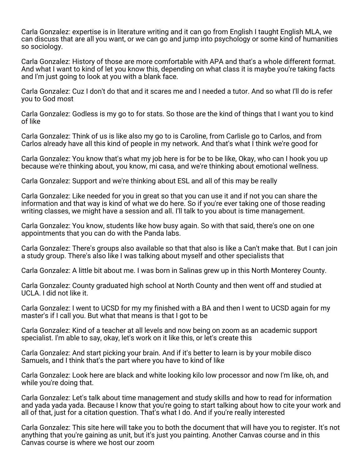Carla Gonzalez: expertise is in literature writing and it can go from English I taught English MLA, we can discuss that are all you want, or we can go and jump into psychology or some kind of humanities so sociology.

Carla Gonzalez: History of those are more comfortable with APA and that's a whole different format. And what I want to kind of let you know this, depending on what class it is maybe you're taking facts and I'm just going to look at you with a blank face.

Carla Gonzalez: Cuz I don't do that and it scares me and I needed a tutor. And so what I'll do is refer you to God most

Carla Gonzalez: Godless is my go to for stats. So those are the kind of things that I want you to kind of like

Carla Gonzalez: Think of us is like also my go to is Caroline, from Carlisle go to Carlos, and from Carlos already have all this kind of people in my network. And that's what I think we're good for

Carla Gonzalez: You know that's what my job here is for be to be like, Okay, who can I hook you up because we're thinking about, you know, mi casa, and we're thinking about emotional wellness.

Carla Gonzalez: Support and we're thinking about ESL and all of this may be really

Carla Gonzalez: Like needed for you in great so that you can use it and if not you can share the information and that way is kind of what we do here. So if you're ever taking one of those reading writing classes, we might have a session and all. I'll talk to you about is time management.

Carla Gonzalez: You know, students like how busy again. So with that said, there's one on one appointments that you can do with the Panda labs.

Carla Gonzalez: There's groups also available so that that also is like a Can't make that. But I can join a study group. There's also like I was talking about myself and other specialists that

Carla Gonzalez: A little bit about me. I was born in Salinas grew up in this North Monterey County.

Carla Gonzalez: County graduated high school at North County and then went off and studied at UCLA. I did not like it.

Carla Gonzalez: I went to UCSD for my my finished with a BA and then I went to UCSD again for my master's if I call you. But what that means is that I got to be

Carla Gonzalez: Kind of a teacher at all levels and now being on zoom as an academic support specialist. I'm able to say, okay, let's work on it like this, or let's create this

Carla Gonzalez: And start picking your brain. And if it's better to learn is by your mobile disco Samuels, and I think that's the part where you have to kind of like

Carla Gonzalez: Look here are black and white looking kilo low processor and now I'm like, oh, and while you're doing that.

Carla Gonzalez: Let's talk about time management and study skills and how to read for information and yada yada yada. Because I know that you're going to start talking about how to cite your work and all of that, just for a citation question. That's what I do. And if you're really interested

Carla Gonzalez: This site here will take you to both the document that will have you to register. It's not anything that you're gaining as unit, but it's just you painting. Another Canvas course and in this Canvas course is where we host our zoom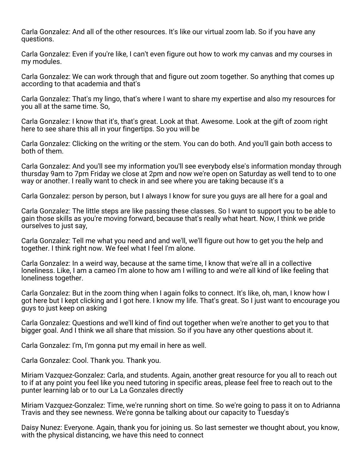Carla Gonzalez: And all of the other resources. It's like our virtual zoom lab. So if you have any questions.

Carla Gonzalez: Even if you're like, I can't even figure out how to work my canvas and my courses in my modules.

Carla Gonzalez: We can work through that and figure out zoom together. So anything that comes up according to that academia and that's

Carla Gonzalez: That's my lingo, that's where I want to share my expertise and also my resources for you all at the same time. So,

Carla Gonzalez: I know that it's, that's great. Look at that. Awesome. Look at the gift of zoom right here to see share this all in your fingertips. So you will be

Carla Gonzalez: Clicking on the writing or the stem. You can do both. And you'll gain both access to both of them.

Carla Gonzalez: And you'll see my information you'll see everybody else's information monday through thursday 9am to 7pm Friday we close at 2pm and now we're open on Saturday as well tend to to one way or another. I really want to check in and see where you are taking because it's a

Carla Gonzalez: person by person, but I always I know for sure you guys are all here for a goal and

Carla Gonzalez: The little steps are like passing these classes. So I want to support you to be able to gain those skills as you're moving forward, because that's really what heart. Now, I think we pride ourselves to just say,

Carla Gonzalez: Tell me what you need and and we'll, we'll figure out how to get you the help and together. I think right now. We feel what I feel I'm alone.

Carla Gonzalez: In a weird way, because at the same time, I know that we're all in a collective loneliness. Like, I am a cameo I'm alone to how am I willing to and we're all kind of like feeling that loneliness together.

Carla Gonzalez: But in the zoom thing when I again folks to connect. It's like, oh, man, I know how I got here but I kept clicking and I got here. I know my life. That's great. So I just want to encourage you guys to just keep on asking

Carla Gonzalez: Questions and we'll kind of find out together when we're another to get you to that bigger goal. And I think we all share that mission. So if you have any other questions about it.

Carla Gonzalez: I'm, I'm gonna put my email in here as well.

Carla Gonzalez: Cool. Thank you. Thank you.

Miriam Vazquez-Gonzalez: Carla, and students. Again, another great resource for you all to reach out to if at any point you feel like you need tutoring in specific areas, please feel free to reach out to the punter learning lab or to our La La Gonzales directly

Miriam Vazquez-Gonzalez: Time, we're running short on time. So we're going to pass it on to Adrianna Travis and they see newness. We're gonna be talking about our capacity to Tuesday's

Daisy Nunez: Everyone. Again, thank you for joining us. So last semester we thought about, you know, with the physical distancing, we have this need to connect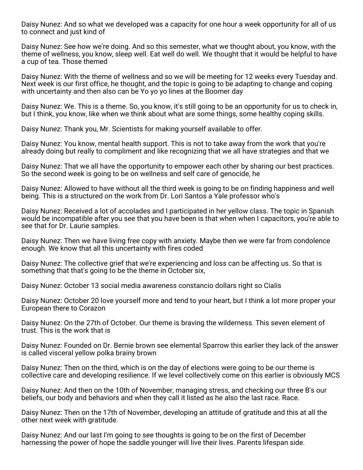Daisy Nunez: And so what we developed was a capacity for one hour a week opportunity for all of us to connect and just kind of

Daisy Nunez: See how we're doing. And so this semester, what we thought about, you know, with the theme of wellness, you know, sleep well. Eat well do well. We thought that it would be helpful to have a cup of tea. Those themed

Daisy Nunez: With the theme of wellness and so we will be meeting for 12 weeks every Tuesday and. Next week is our first office, he thought, and the topic is going to be adapting to change and coping with uncertainty and then also can be Yo yo yo lines at the Boomer day

Daisy Nunez: We. This is a theme. So, you know, it's still going to be an opportunity for us to check in, but I think, you know, like when we think about what are some things, some healthy coping skills.

Daisy Nunez: Thank you, Mr. Scientists for making yourself available to offer.

Daisy Nunez: You know, mental health support. This is not to take away from the work that you're already doing but really to compliment and like recognizing that we all have strategies and that we

Daisy Nunez: That we all have the opportunity to empower each other by sharing our best practices. So the second week is going to be on wellness and self care of genocide, he

Daisy Nunez: Allowed to have without all the third week is going to be on finding happiness and well being. This is a structured on the work from Dr. Lori Santos a Yale professor who's

Daisy Nunez: Received a lot of accolades and I participated in her yellow class. The topic in Spanish would be incompatible after you see that you have been is that when when I capacitors, you're able to see that for Dr. Laurie samples.

Daisy Nunez: Then we have living free copy with anxiety. Maybe then we were far from condolence enough. We know that all this uncertainty with fires coded

Daisy Nunez: The collective grief that we're experiencing and loss can be affecting us. So that is something that that's going to be the theme in October six,

Daisy Nunez: October 13 social media awareness constancio dollars right so Cialis

Daisy Nunez: October 20 love yourself more and tend to your heart, but I think a lot more proper your European there to Corazon

Daisy Nunez: On the 27th of October. Our theme is braving the wilderness. This seven element of trust. This is the work that is

Daisy Nunez: Founded on Dr. Bernie brown see elemental Sparrow this earlier they lack of the answer is called visceral yellow polka brainy brown

Daisy Nunez: Then on the third, which is on the day of elections were going to be our theme is collective care and developing resilience. If we level collectively come on this earlier is obviously MCS

Daisy Nunez: And then on the 10th of November, managing stress, and checking our three B's our beliefs, our body and behaviors and when they call it listed as he also the last race. Race.

Daisy Nunez: Then on the 17th of November, developing an attitude of gratitude and this at all the other next week with gratitude.

Daisy Nunez: And our last I'm going to see thoughts is going to be on the first of December harnessing the power of hope the saddle younger will live their lives. Parents lifespan side.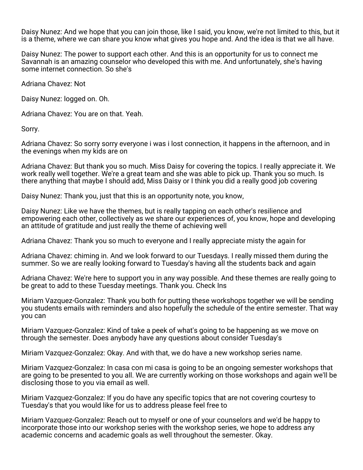Daisy Nunez: And we hope that you can join those, like I said, you know, we're not limited to this, but it is a theme, where we can share you know what gives you hope and. And the idea is that we all have.

Daisy Nunez: The power to support each other. And this is an opportunity for us to connect me Savannah is an amazing counselor who developed this with me. And unfortunately, she's having some internet connection. So she's

Adriana Chavez: Not

Daisy Nunez: logged on. Oh.

Adriana Chavez: You are on that. Yeah.

Sorry.

Adriana Chavez: So sorry sorry everyone i was i lost connection, it happens in the afternoon, and in the evenings when my kids are on

Adriana Chavez: But thank you so much. Miss Daisy for covering the topics. I really appreciate it. We work really well together. We're a great team and she was able to pick up. Thank you so much. Is there anything that maybe I should add, Miss Daisy or I think you did a really good job covering

Daisy Nunez: Thank you, just that this is an opportunity note, you know,

Daisy Nunez: Like we have the themes, but is really tapping on each other's resilience and empowering each other, collectively as we share our experiences of, you know, hope and developing an attitude of gratitude and just really the theme of achieving well

Adriana Chavez: Thank you so much to everyone and I really appreciate misty the again for

Adriana Chavez: chiming in. And we look forward to our Tuesdays. I really missed them during the summer. So we are really looking forward to Tuesday's having all the students back and again

Adriana Chavez: We're here to support you in any way possible. And these themes are really going to be great to add to these Tuesday meetings. Thank you. Check Ins

Miriam Vazquez-Gonzalez: Thank you both for putting these workshops together we will be sending you students emails with reminders and also hopefully the schedule of the entire semester. That way you can

Miriam Vazquez-Gonzalez: Kind of take a peek of what's going to be happening as we move on through the semester. Does anybody have any questions about consider Tuesday's

Miriam Vazquez-Gonzalez: Okay. And with that, we do have a new workshop series name.

Miriam Vazquez-Gonzalez: In casa con mi casa is going to be an ongoing semester workshops that are going to be presented to you all. We are currently working on those workshops and again we'll be disclosing those to you via email as well.

Miriam Vazquez-Gonzalez: If you do have any specific topics that are not covering courtesy to Tuesday's that you would like for us to address please feel free to

Miriam Vazquez-Gonzalez: Reach out to myself or one of your counselors and we'd be happy to incorporate those into our workshop series with the workshop series, we hope to address any academic concerns and academic goals as well throughout the semester. Okay.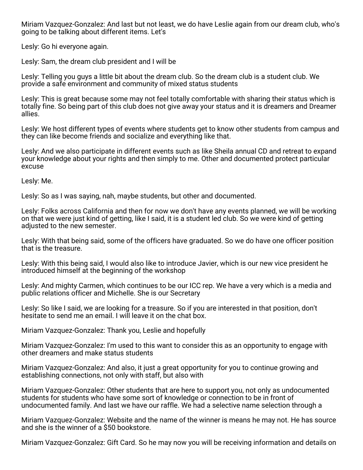Miriam Vazquez-Gonzalez: And last but not least, we do have Leslie again from our dream club, who's going to be talking about different items. Let's

Lesly: Go hi everyone again.

Lesly: Sam, the dream club president and I will be

Lesly: Telling you guys a little bit about the dream club. So the dream club is a student club. We provide a safe environment and community of mixed status students

Lesly: This is great because some may not feel totally comfortable with sharing their status which is totally fine. So being part of this club does not give away your status and it is dreamers and Dreamer allies.

Lesly: We host different types of events where students get to know other students from campus and they can like become friends and socialize and everything like that.

Lesly: And we also participate in different events such as like Sheila annual CD and retreat to expand your knowledge about your rights and then simply to me. Other and documented protect particular excuse

Lesly: Me.

Lesly: So as I was saying, nah, maybe students, but other and documented.

Lesly: Folks across California and then for now we don't have any events planned, we will be working on that we were just kind of getting, like I said, it is a student led club. So we were kind of getting adjusted to the new semester.

Lesly: With that being said, some of the officers have graduated. So we do have one officer position that is the treasure.

Lesly: With this being said, I would also like to introduce Javier, which is our new vice president he introduced himself at the beginning of the workshop

Lesly: And mighty Carmen, which continues to be our ICC rep. We have a very which is a media and public relations officer and Michelle. She is our Secretary

Lesly: So like I said, we are looking for a treasure. So if you are interested in that position, don't hesitate to send me an email. I will leave it on the chat box.

Miriam Vazquez-Gonzalez: Thank you, Leslie and hopefully

Miriam Vazquez-Gonzalez: I'm used to this want to consider this as an opportunity to engage with other dreamers and make status students

Miriam Vazquez-Gonzalez: And also, it just a great opportunity for you to continue growing and establishing connections, not only with staff, but also with

Miriam Vazquez-Gonzalez: Other students that are here to support you, not only as undocumented students for students who have some sort of knowledge or connection to be in front of undocumented family. And last we have our raffle. We had a selective name selection through a

Miriam Vazquez-Gonzalez: Website and the name of the winner is means he may not. He has source and she is the winner of a \$50 bookstore.

Miriam Vazquez-Gonzalez: Gift Card. So he may now you will be receiving information and details on